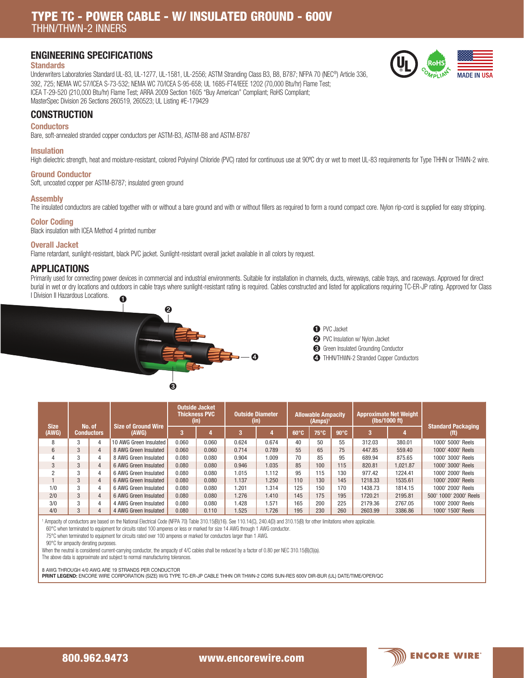### ENGINEERING SPECIFICATIONS

### **Standards**

Underwriters Laboratories Standard UL-83, UL-1277, UL-1581, UL-2556; ASTM Stranding Class B3, B8, B787; NFPA 70 (NEC®) Article 336, 392, 725; NEMA WC 57/ICEA S-73-532; NEMA WC 70/ICEA S-95-658; UL 1685-FT4/IEEE 1202 (70,000 Btu/hr) Flame Test; ICEA T-29-520 (210,000 Btu/hr) Flame Test; ARRA 2009 Section 1605 "Buy American" Compliant; RoHS Compliant; MasterSpec Division 26 Sections 260519, 260523; UL Listing #E-179429



# **Conductors**

Bare, soft-annealed stranded copper conductors per ASTM-B3, ASTM-B8 and ASTM-B787

#### Insulation

High dielectric strength, heat and moisture-resistant, colored Polyvinyl Chloride (PVC) rated for continuous use at 90°C dry or wet to meet UL-83 requirements for Type THHN or THWN-2 wire.

#### Ground Conductor

**CONSTRUCTION** 

Soft, uncoated copper per ASTM-B787; insulated green ground

#### **Assembly**

The insulated conductors are cabled together with or without a bare ground and with or without fillers as required to form a round compact core. Nylon rip-cord is supplied for easy stripping.

## Color Coding

Black insulation with ICEA Method 4 printed number

### Overall Jacket

Flame retardant, sunlight-resistant, black PVC jacket. Sunlight-resistant overall jacket available in all colors by request.

### APPLICATIONS

Primarily used for connecting power devices in commercial and industrial environments. Suitable for installation in channels, ducts, wireways, cable trays, and raceways. Approved for direct burial in wet or dry locations and outdoors in cable trays where sunlight-resistant rating is required. Cables constructed and listed for applications requiring TC-ER-JP rating. Approved for Class I Division II Hazardous Locations. ➊



➊ PVC Jacket

➋ PVC Insulation w/ Nylon Jacket

- ➌ Green Insulated Grounding Conductor
- ➍ THHN/THWN-2 Stranded Copper Conductors

| <b>Size</b> | No. of<br><b>Conductors</b> |                | <b>Size of Ground Wire</b> | <b>Outside Jacket</b><br><b>Thickness PVC</b><br>(in) |       | <b>Outside Diameter</b><br>(in) |       | <b>Allowable Ampacity</b><br>$(Amps)$ <sup>1</sup> |                |                | <b>Approximate Net Weight</b><br>(lbs/1000 ft) |          | <b>Standard Packaging</b> |
|-------------|-----------------------------|----------------|----------------------------|-------------------------------------------------------|-------|---------------------------------|-------|----------------------------------------------------|----------------|----------------|------------------------------------------------|----------|---------------------------|
| (AWG)       |                             |                | (AWG)                      |                                                       |       | 3                               |       | $60^\circ C$                                       | $75^{\circ}$ C | $90^{\circ}$ C | 3                                              |          | (ft)                      |
| 8           | 3                           | 4              | 10 AWG Green Insulated     | 0.060                                                 | 0.060 | 0.624                           | 0.674 | 40                                                 | 50             | 55             | 312.03                                         | 380.01   | 1000' 5000' Reels         |
| 6           | 3                           | $\overline{4}$ | 8 AWG Green Insulated      | 0.060                                                 | 0.060 | 0.714                           | 0.789 | 55                                                 | 65             | 75             | 447.85                                         | 559.40   | 1000' 4000' Reels         |
|             | 3                           | 4              | 8 AWG Green Insulated      | 0.080                                                 | 0.080 | 0.904                           | 1.009 | 70                                                 | 85             | 95             | 689.94                                         | 875.65   | 1000' 3000' Reels         |
| 3           | 3                           | $\overline{4}$ | 6 AWG Green Insulated      | 0.080                                                 | 0.080 | 0.946                           | 1.035 | 85                                                 | 100            | 115            | 820.81                                         | 1.021.87 | 1000' 3000' Reels         |
| 2           | 3                           | $\overline{4}$ | 6 AWG Green Insulated      | 0.080                                                 | 0.080 | 1.015                           | 1.112 | 95                                                 | 115            | 130            | 977.42                                         | 1224.41  | 1000' 2000' Reels         |
|             | 3                           | $\overline{4}$ | 6 AWG Green Insulated      | 0.080                                                 | 0.080 | 1.137                           | 1.250 | 110                                                | 130            | 145            | 1218.33                                        | 1535.61  | 1000' 2000' Reels         |
| 1/0         | 3                           | $\overline{4}$ | 6 AWG Green Insulated      | 0.080                                                 | 0.080 | 1.201                           | 1.314 | 125                                                | 150            | 170            | 1438.73                                        | 1814.15  | 1000' 2000' Reels         |
| 2/0         | 3                           | $\overline{4}$ | 6 AWG Green Insulated      | 0.080                                                 | 0.080 | 1.276                           | 1.410 | 145                                                | 175            | 195            | 1720.21                                        | 2195.81  | 500' 1000' 2000' Reels    |
| 3/0         | 3                           | 4              | 4 AWG Green Insulated      | 0.080                                                 | 0.080 | 1.428                           | 1.571 | 165                                                | 200            | 225            | 2179.36                                        | 2767.05  | 1000' 2000' Reels         |
| 4/0         | 3                           | $\overline{4}$ | 4 AWG Green Insulated      | 0.080                                                 | 0.110 | 1.525                           | 1.726 | 195                                                | 230            | 260            | 2603.99                                        | 3386.86  | 1000' 1500' Reels         |

Ampacity of conductors are based on the National Electrical Code (NFPA 70) Table 310.15(B)(16). See 110.14(C), 240.4(D) and 310.15(B) for other limitations where applicable.

60°C when terminated to equipment for circuits rated 100 amperes or less or marked for size 14 AWG through 1 AWG conductor.

75°C when terminated to equipment for circuits rated over 100 amperes or marked for conductors larger than 1 AWG.

90°C for ampacity derating purposes.

When the neutral is considered current-carrying conductor, the ampacity of 4/C cables shall be reduced by a factor of 0.80 per NEC 310.15(B)(3)(a).

The above data is approximate and subject to normal manufacturing tolerances.

8 AWG THROUGH 4/0 AWG ARE 19 STRANDS PER CONDUCTOR

PRINT LEGEND: ENCORE WIRE CORPORATION (SIZE) W/G TYPE TC-ER-JP CABLE THHN OR THWN-2 CDRS SUN-RES 600V DIR-BUR (UL) DATE/TIME/OPER/QC

800.962.9473 www.encorewire.com 800.962.9473 www.encorewire.com